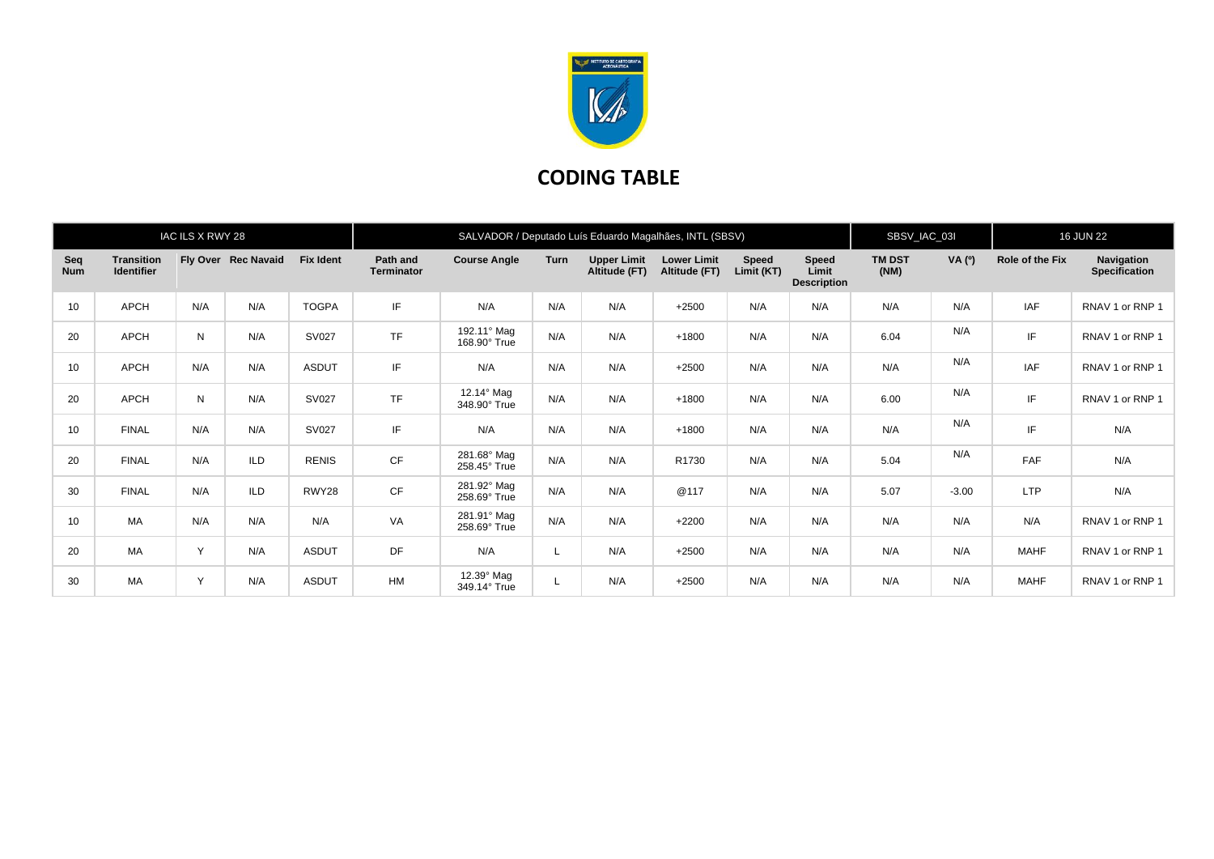

## **CODING TABLE**

|                   |                                        | IAC ILS X RWY 28 |                     |                  | SALVADOR / Deputado Luís Eduardo Magalhães, INTL (SBSV) |                                   |             |                                     |                                     |                     |                                      | SBSV_IAC_03I          |         | <b>16 JUN 22</b> |                                    |
|-------------------|----------------------------------------|------------------|---------------------|------------------|---------------------------------------------------------|-----------------------------------|-------------|-------------------------------------|-------------------------------------|---------------------|--------------------------------------|-----------------------|---------|------------------|------------------------------------|
| Seq<br><b>Num</b> | <b>Transition</b><br><b>Identifier</b> |                  | Fly Over Rec Navaid | <b>Fix Ident</b> | Path and<br><b>Terminator</b>                           | <b>Course Angle</b>               | <b>Turn</b> | <b>Upper Limit</b><br>Altitude (FT) | <b>Lower Limit</b><br>Altitude (FT) | Speed<br>Limit (KT) | Speed<br>Limit<br><b>Description</b> | <b>TM DST</b><br>(NM) | VA (°)  | Role of the Fix  | Navigation<br><b>Specification</b> |
| 10                | APCH                                   | N/A              | N/A                 | <b>TOGPA</b>     | IF                                                      | N/A                               | N/A         | N/A                                 | $+2500$                             | N/A                 | N/A                                  | N/A                   | N/A     | <b>IAF</b>       | RNAV 1 or RNP 1                    |
| 20                | <b>APCH</b>                            | N                | N/A                 | SV027            | <b>TF</b>                                               | 192.11° Mag<br>168.90° True       | N/A         | N/A                                 | $+1800$                             | N/A                 | N/A                                  | 6.04                  | N/A     | IF               | RNAV 1 or RNP 1                    |
| 10                | APCH                                   | N/A              | N/A                 | <b>ASDUT</b>     | IF                                                      | N/A                               | N/A         | N/A                                 | $+2500$                             | N/A                 | N/A                                  | N/A                   | N/A     | <b>IAF</b>       | RNAV 1 or RNP 1                    |
| 20                | APCH                                   | N                | N/A                 | <b>SV027</b>     | <b>TF</b>                                               | 12.14° Mag<br>348.90° True        | N/A         | N/A                                 | $+1800$                             | N/A                 | N/A                                  | 6.00                  | N/A     | IF               | RNAV 1 or RNP 1                    |
| 10                | <b>FINAL</b>                           | N/A              | N/A                 | <b>SV027</b>     | IF                                                      | N/A                               | N/A         | N/A                                 | $+1800$                             | N/A                 | N/A                                  | N/A                   | N/A     | IF               | N/A                                |
| 20                | <b>FINAL</b>                           | N/A              | <b>ILD</b>          | <b>RENIS</b>     | CF                                                      | 281.68° Mag<br>258.45° True       | N/A         | N/A                                 | R1730                               | N/A                 | N/A                                  | 5.04                  | N/A     | <b>FAF</b>       | N/A                                |
| 30                | <b>FINAL</b>                           | N/A              | <b>ILD</b>          | RWY28            | CF                                                      | 281.92° Mag<br>258.69° True       | N/A         | N/A                                 | @117                                | N/A                 | N/A                                  | 5.07                  | $-3.00$ | <b>LTP</b>       | N/A                                |
| 10                | MA                                     | N/A              | N/A                 | N/A              | VA                                                      | 281.91° Mag<br>258.69° True       | N/A         | N/A                                 | $+2200$                             | N/A                 | N/A                                  | N/A                   | N/A     | N/A              | RNAV 1 or RNP 1                    |
| 20                | MA                                     | Y                | N/A                 | <b>ASDUT</b>     | DF                                                      | N/A                               |             | N/A                                 | $+2500$                             | N/A                 | N/A                                  | N/A                   | N/A     | <b>MAHF</b>      | RNAV 1 or RNP 1                    |
| 30                | МA                                     | Y                | N/A                 | <b>ASDUT</b>     | <b>HM</b>                                               | $12.39^\circ$ Mag<br>349.14° True |             | N/A                                 | $+2500$                             | N/A                 | N/A                                  | N/A                   | N/A     | <b>MAHF</b>      | RNAV 1 or RNP 1                    |